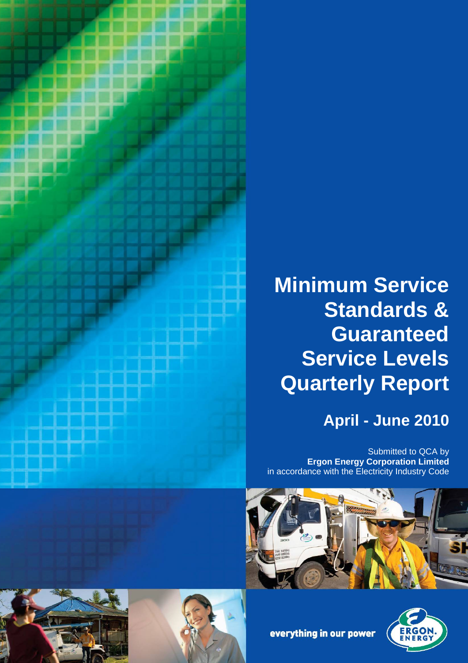

# **Minimum Service Standards & Guaranteed Service Levels Quarterly Report**

# **April - June 2010**

Submitted to QCA by **Ergon Energy Corporation Limited** in accordance with the Electricity Industry Code









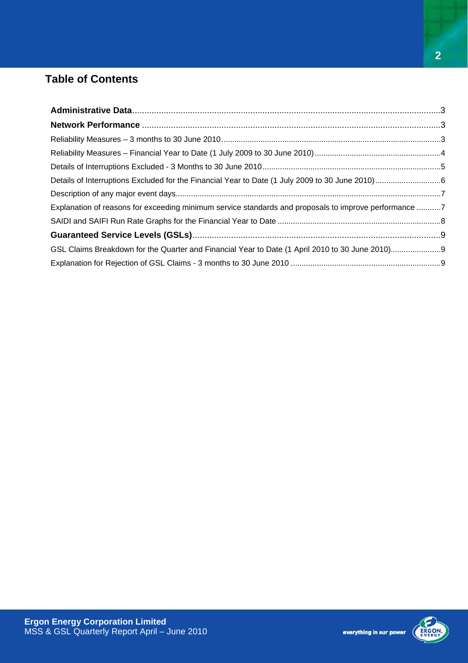## **Table of Contents**

| Explanation of reasons for exceeding minimum service standards and proposals to improve performance 7 |  |
|-------------------------------------------------------------------------------------------------------|--|
|                                                                                                       |  |
|                                                                                                       |  |
|                                                                                                       |  |
|                                                                                                       |  |

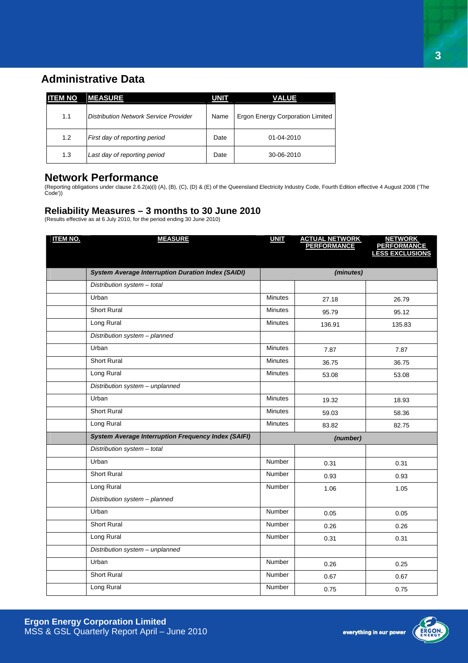### <span id="page-2-0"></span>**Administrative Data**

| <b>ITEM NO</b> | <b>MEASURE</b>                        | <b>UNIT</b> | <b>VALUE</b>                            |
|----------------|---------------------------------------|-------------|-----------------------------------------|
| 1.1            | Distribution Network Service Provider | Name        | <b>Ergon Energy Corporation Limited</b> |
| 1.2            | First day of reporting period         | Date        | $01 - 04 - 2010$                        |
| 1.3            | Last day of reporting period          | Date        | 30-06-2010                              |

#### **Network Performance**

(Reporting obligations under clause 2.6.2(a)(i) (A), (B), (C), (D) & (E) of the Queensland Electricity Industry Code, Fourth Edition effective 4 August 2008 ('The Code'))

#### **Reliability Measures – 3 months to 30 June 2010**

(Results effective as at 6 July 2010, for the period ending 30 June 2010)

| <b>ITEM NO.</b> | <b>MEASURE</b>                                             | <b>UNIT</b>    | <b>ACTUAL NETWORK<br/>PERFORMANCE</b> | <b>NETWORK</b><br><b>PERFORMANCE</b><br>LESS EXCLUSIONS |
|-----------------|------------------------------------------------------------|----------------|---------------------------------------|---------------------------------------------------------|
|                 | <b>System Average Interruption Duration Index (SAIDI)</b>  |                | (minutes)                             |                                                         |
|                 | Distribution system - total                                |                |                                       |                                                         |
|                 | Urban                                                      | <b>Minutes</b> | 27.18                                 | 26.79                                                   |
|                 | <b>Short Rural</b>                                         | <b>Minutes</b> | 95.79                                 | 95.12                                                   |
|                 | Long Rural                                                 | <b>Minutes</b> | 136.91                                | 135.83                                                  |
|                 | Distribution system - planned                              |                |                                       |                                                         |
|                 | Urban                                                      | <b>Minutes</b> | 7.87                                  | 7.87                                                    |
|                 | <b>Short Rural</b>                                         | <b>Minutes</b> | 36.75                                 | 36.75                                                   |
|                 | Long Rural                                                 | <b>Minutes</b> | 53.08                                 | 53.08                                                   |
|                 | Distribution system - unplanned                            |                |                                       |                                                         |
|                 | Urban                                                      | <b>Minutes</b> | 19.32                                 | 18.93                                                   |
|                 | <b>Short Rural</b>                                         | <b>Minutes</b> | 59.03                                 | 58.36                                                   |
|                 | Long Rural                                                 | <b>Minutes</b> | 83.82                                 | 82.75                                                   |
|                 | <b>System Average Interruption Frequency Index (SAIFI)</b> |                | (number)                              |                                                         |
|                 | Distribution system - total                                |                |                                       |                                                         |
|                 | Urban                                                      | <b>Number</b>  | 0.31                                  | 0.31                                                    |
|                 | <b>Short Rural</b>                                         | <b>Number</b>  | 0.93                                  | 0.93                                                    |
|                 | Long Rural                                                 | Number         | 1.06                                  | 1.05                                                    |
|                 | Distribution system - planned                              |                |                                       |                                                         |
|                 | Urban                                                      | <b>Number</b>  | 0.05                                  | 0.05                                                    |
|                 | <b>Short Rural</b>                                         | <b>Number</b>  | 0.26                                  | 0.26                                                    |
|                 | Long Rural                                                 | Number         | 0.31                                  | 0.31                                                    |
|                 | Distribution system - unplanned                            |                |                                       |                                                         |
|                 | Urban                                                      | <b>Number</b>  | 0.26                                  | 0.25                                                    |
|                 | <b>Short Rural</b>                                         | Number         | 0.67                                  | 0.67                                                    |
|                 | Long Rural                                                 | Number         | 0.75                                  | 0.75                                                    |



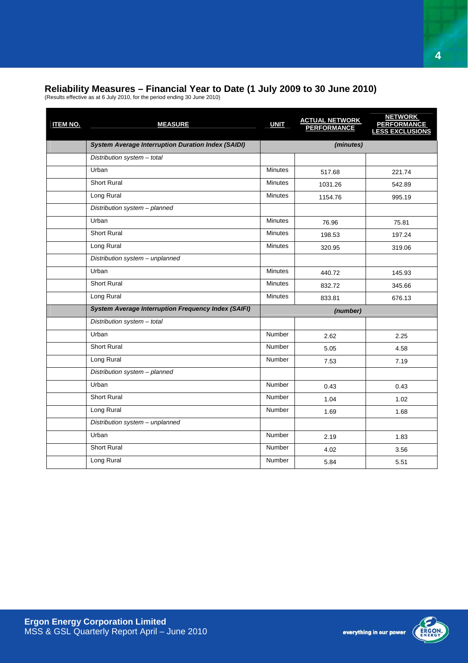#### <span id="page-3-0"></span>**Reliability Measures – Financial Year to Date (1 July 2009 to 30 June 2010)**

(Results effective as at 6 July 2010, for the period ending 30 June 2010)

| <b>ITEM NO.</b> | <b>MEASURE</b>                                             | <b>UNIT</b>    | <b>ACTUAL NETWORK<br/>PERFORMANCE</b> | <b>NETWORK</b><br><b>PERFORMANCE</b><br><b>LESS EXCLUSIONS</b> |
|-----------------|------------------------------------------------------------|----------------|---------------------------------------|----------------------------------------------------------------|
|                 | <b>System Average Interruption Duration Index (SAIDI)</b>  |                | (minutes)                             |                                                                |
|                 | Distribution system - total                                |                |                                       |                                                                |
|                 | Urban                                                      | <b>Minutes</b> | 517.68                                | 221.74                                                         |
|                 | <b>Short Rural</b>                                         | <b>Minutes</b> | 1031.26                               | 542.89                                                         |
|                 | Long Rural                                                 | <b>Minutes</b> | 1154.76                               | 995.19                                                         |
|                 | Distribution system - planned                              |                |                                       |                                                                |
|                 | Urban                                                      | <b>Minutes</b> | 76.96                                 | 75.81                                                          |
|                 | <b>Short Rural</b>                                         | <b>Minutes</b> | 198.53                                | 197.24                                                         |
|                 | Long Rural                                                 | <b>Minutes</b> | 320.95                                | 319.06                                                         |
|                 | Distribution system - unplanned                            |                |                                       |                                                                |
|                 | Urban                                                      | <b>Minutes</b> | 440.72                                | 145.93                                                         |
|                 | <b>Short Rural</b>                                         | <b>Minutes</b> | 832.72                                | 345.66                                                         |
|                 | Long Rural                                                 | <b>Minutes</b> | 833.81                                | 676.13                                                         |
|                 | <b>System Average Interruption Frequency Index (SAIFI)</b> |                | (number)                              |                                                                |
|                 | Distribution system - total                                |                |                                       |                                                                |
|                 | Urban                                                      | <b>Number</b>  | 2.62                                  | 2.25                                                           |
|                 | <b>Short Rural</b>                                         | Number         | 5.05                                  | 4.58                                                           |
|                 | Long Rural                                                 | Number         | 7.53                                  | 7.19                                                           |
|                 | Distribution system - planned                              |                |                                       |                                                                |
|                 | Urban                                                      | <b>Number</b>  | 0.43                                  | 0.43                                                           |
|                 | <b>Short Rural</b>                                         | Number         | 1.04                                  | 1.02                                                           |
|                 | Long Rural                                                 | <b>Number</b>  | 1.69                                  | 1.68                                                           |
|                 | Distribution system - unplanned                            |                |                                       |                                                                |
|                 | Urban                                                      | <b>Number</b>  | 2.19                                  | 1.83                                                           |
|                 | Short Rural                                                | <b>Number</b>  | 4.02                                  | 3.56                                                           |
|                 | Long Rural                                                 | Number         | 5.84                                  | 5.51                                                           |

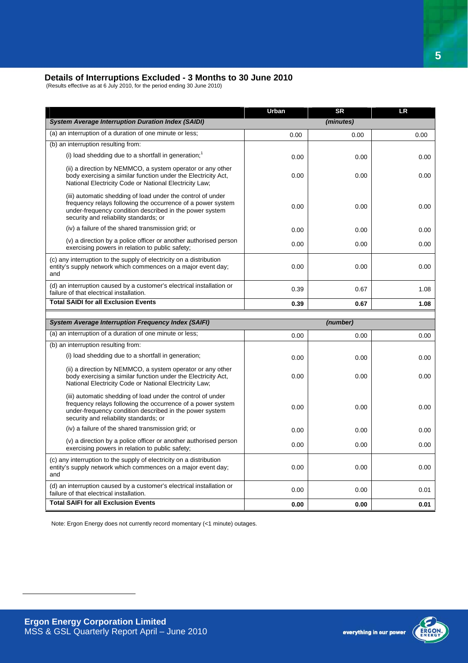#### <span id="page-4-0"></span>**Details of Interruptions Excluded - 3 Months to 30 June 2010**

(Results effective as at 6 July 2010, for the period ending 30 June 2010)

|                                                                                                                                                                                                                                 | Urban | <b>SR</b> | <b>LR</b> |
|---------------------------------------------------------------------------------------------------------------------------------------------------------------------------------------------------------------------------------|-------|-----------|-----------|
| <b>System Average Interruption Duration Index (SAIDI)</b>                                                                                                                                                                       |       | (minutes) |           |
| (a) an interruption of a duration of one minute or less;                                                                                                                                                                        | 0.00  | 0.00      | 0.00      |
| (b) an interruption resulting from:                                                                                                                                                                                             |       |           |           |
| (i) load shedding due to a shortfall in generation; $1$                                                                                                                                                                         | 0.00  | 0.00      | 0.00      |
| (ii) a direction by NEMMCO, a system operator or any other<br>body exercising a similar function under the Electricity Act,<br>National Electricity Code or National Electricity Law;                                           | 0.00  | 0.00      | 0.00      |
| (iii) automatic shedding of load under the control of under<br>frequency relays following the occurrence of a power system<br>under-frequency condition described in the power system<br>security and reliability standards; or | 0.00  | 0.00      | 0.00      |
| (iv) a failure of the shared transmission grid; or                                                                                                                                                                              | 0.00  | 0.00      | 0.00      |
| (v) a direction by a police officer or another authorised person<br>exercising powers in relation to public safety;                                                                                                             | 0.00  | 0.00      | 0.00      |
| (c) any interruption to the supply of electricity on a distribution<br>entity's supply network which commences on a major event day;<br>and                                                                                     | 0.00  | 0.00      | 0.00      |
| (d) an interruption caused by a customer's electrical installation or<br>failure of that electrical installation.                                                                                                               | 0.39  | 0.67      | 1.08      |
| <b>Total SAIDI for all Exclusion Events</b>                                                                                                                                                                                     | 0.39  | 0.67      | 1.08      |
|                                                                                                                                                                                                                                 |       |           |           |
| <b>System Average Interruption Frequency Index (SAIFI)</b>                                                                                                                                                                      |       | (number)  |           |
| (a) an interruption of a duration of one minute or less;                                                                                                                                                                        | 0.00  | 0.00      | 0.00      |
| (b) an interruption resulting from:                                                                                                                                                                                             |       |           |           |
| (i) load shedding due to a shortfall in generation;                                                                                                                                                                             | 0.00  | 0.00      | 0.00      |
| (ii) a direction by NEMMCO, a system operator or any other<br>body exercising a similar function under the Electricity Act.<br>National Electricity Code or National Electricity Law;                                           | 0.00  | 0.00      | 0.00      |
| (iii) automatic shedding of load under the control of under<br>frequency relays following the occurrence of a power system<br>under-frequency condition described in the power system<br>security and reliability standards; or | 0.00  | 0.00      | 0.00      |
| (iv) a failure of the shared transmission grid; or                                                                                                                                                                              | 0.00  | 0.00      | 0.00      |
| (v) a direction by a police officer or another authorised person<br>exercising powers in relation to public safety;                                                                                                             | 0.00  | 0.00      | 0.00      |
| (c) any interruption to the supply of electricity on a distribution<br>entity's supply network which commences on a major event day;<br>and                                                                                     | 0.00  | 0.00      | 0.00      |
|                                                                                                                                                                                                                                 |       |           |           |
| (d) an interruption caused by a customer's electrical installation or<br>failure of that electrical installation.                                                                                                               | 0.00  | 0.00      | 0.01      |

Note: Ergon Energy does not currently record momentary (<1 minute) outages.



<span id="page-4-1"></span> $\overline{a}$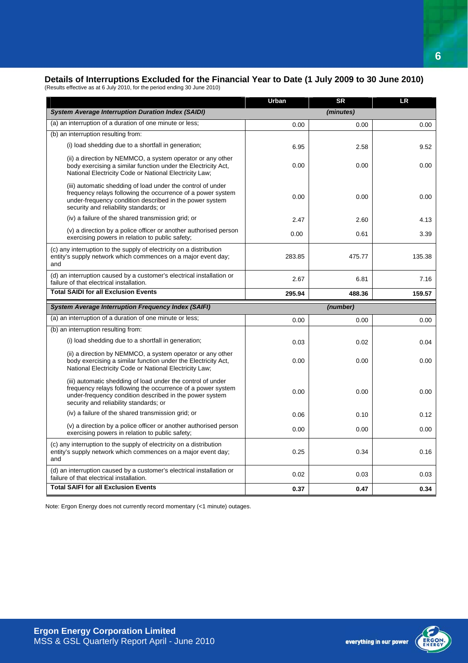#### <span id="page-5-0"></span>**Details of Interruptions Excluded for the Financial Year to Date (1 July 2009 to 30 June 2010)**

(Results effective as at 6 July 2010, for the period ending 30 June 2010)

|                                                                                                                                                                                                                                 | Urban  | <b>SR</b> | <b>LR</b> |
|---------------------------------------------------------------------------------------------------------------------------------------------------------------------------------------------------------------------------------|--------|-----------|-----------|
| <b>System Average Interruption Duration Index (SAIDI)</b>                                                                                                                                                                       |        | (minutes) |           |
| (a) an interruption of a duration of one minute or less;                                                                                                                                                                        | 0.00   | 0.00      | 0.00      |
| (b) an interruption resulting from:                                                                                                                                                                                             |        |           |           |
| (i) load shedding due to a shortfall in generation;                                                                                                                                                                             | 6.95   | 2.58      | 9.52      |
| (ii) a direction by NEMMCO, a system operator or any other<br>body exercising a similar function under the Electricity Act.<br>National Electricity Code or National Electricity Law;                                           | 0.00   | 0.00      | 0.00      |
| (iii) automatic shedding of load under the control of under<br>frequency relays following the occurrence of a power system<br>under-frequency condition described in the power system<br>security and reliability standards; or | 0.00   | 0.00      | 0.00      |
| (iv) a failure of the shared transmission grid; or                                                                                                                                                                              | 2.47   | 2.60      | 4.13      |
| (v) a direction by a police officer or another authorised person<br>exercising powers in relation to public safety;                                                                                                             | 0.00   | 0.61      | 3.39      |
| (c) any interruption to the supply of electricity on a distribution<br>entity's supply network which commences on a major event day;<br>and                                                                                     | 283.85 | 475.77    | 135.38    |
| (d) an interruption caused by a customer's electrical installation or<br>failure of that electrical installation.                                                                                                               | 2.67   | 6.81      | 7.16      |
| <b>Total SAIDI for all Exclusion Events</b>                                                                                                                                                                                     | 295.94 | 488.36    | 159.57    |
| <b>System Average Interruption Frequency Index (SAIFI)</b>                                                                                                                                                                      |        | (number)  |           |
| (a) an interruption of a duration of one minute or less;                                                                                                                                                                        | 0.00   | 0.00      | 0.00      |
| (b) an interruption resulting from:                                                                                                                                                                                             |        |           |           |
| (i) load shedding due to a shortfall in generation;                                                                                                                                                                             | 0.03   | 0.02      | 0.04      |
| (ii) a direction by NEMMCO, a system operator or any other<br>body exercising a similar function under the Electricity Act,<br>National Electricity Code or National Electricity Law;                                           | 0.00   | 0.00      | 0.00      |
| (iii) automatic shedding of load under the control of under<br>frequency relays following the occurrence of a power system<br>under-frequency condition described in the power system<br>security and reliability standards; or | 0.00   | 0.00      | 0.00      |
| (iv) a failure of the shared transmission grid; or                                                                                                                                                                              | 0.06   | 0.10      | 0.12      |
| (v) a direction by a police officer or another authorised person<br>exercising powers in relation to public safety;                                                                                                             | 0.00   | 0.00      | 0.00      |
| (c) any interruption to the supply of electricity on a distribution<br>entity's supply network which commences on a major event day;<br>and                                                                                     | 0.25   | 0.34      | 0.16      |
| (d) an interruption caused by a customer's electrical installation or<br>failure of that electrical installation.                                                                                                               | 0.02   | 0.03      | 0.03      |
| <b>Total SAIFI for all Exclusion Events</b>                                                                                                                                                                                     | 0.37   | 0.47      | 0.34      |

Note: Ergon Energy does not currently record momentary (<1 minute) outages.

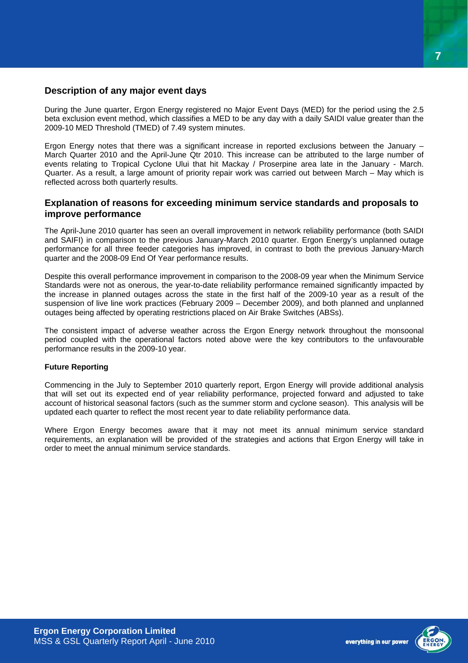#### <span id="page-6-0"></span>**Description of any major event days**

During the June quarter, Ergon Energy registered no Major Event Days (MED) for the period using the 2.5 beta exclusion event method, which classifies a MED to be any day with a daily SAIDI value greater than the 2009-10 MED Threshold (TMED) of 7.49 system minutes.

Ergon Energy notes that there was a significant increase in reported exclusions between the January – March Quarter 2010 and the April-June Qtr 2010. This increase can be attributed to the large number of events relating to Tropical Cyclone Ului that hit Mackay / Proserpine area late in the January - March. Quarter. As a result, a large amount of priority repair work was carried out between March – May which is reflected across both quarterly results.

#### **Explanation of reasons for exceeding minimum service standards and proposals to improve performance**

The April-June 2010 quarter has seen an overall improvement in network reliability performance (both SAIDI and SAIFI) in comparison to the previous January-March 2010 quarter. Ergon Energy's unplanned outage performance for all three feeder categories has improved, in contrast to both the previous January-March quarter and the 2008-09 End Of Year performance results.

Despite this overall performance improvement in comparison to the 2008-09 year when the Minimum Service Standards were not as onerous, the year-to-date reliability performance remained significantly impacted by the increase in planned outages across the state in the first half of the 2009-10 year as a result of the suspension of live line work practices (February 2009 – December 2009), and both planned and unplanned outages being affected by operating restrictions placed on Air Brake Switches (ABSs).

The consistent impact of adverse weather across the Ergon Energy network throughout the monsoonal period coupled with the operational factors noted above were the key contributors to the unfavourable performance results in the 2009-10 year.

#### **Future Reporting**

Commencing in the July to September 2010 quarterly report, Ergon Energy will provide additional analysis that will set out its expected end of year reliability performance, projected forward and adjusted to take account of historical seasonal factors (such as the summer storm and cyclone season). This analysis will be updated each quarter to reflect the most recent year to date reliability performance data.

Where Ergon Energy becomes aware that it may not meet its annual minimum service standard requirements, an explanation will be provided of the strategies and actions that Ergon Energy will take in order to meet the annual minimum service standards.

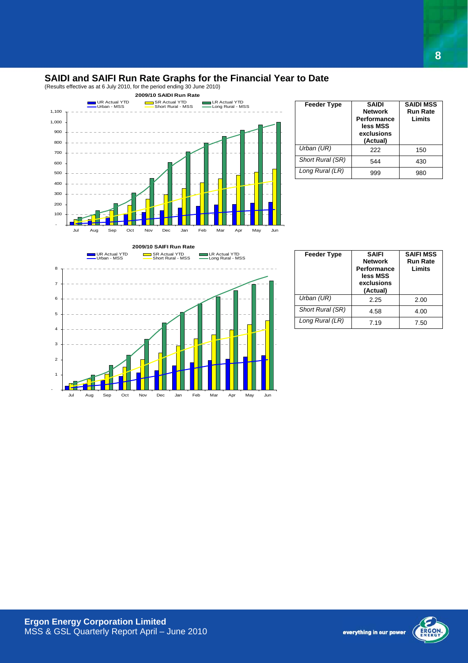#### <span id="page-7-0"></span>**SAIDI and SAIFI Run Rate Graphs for the Financial Year to Date**

(Results effective as at 6 July 2010, for the period ending 30 June 2010)



| <b>Feeder Type</b> | <b>SAIDI</b><br><b>Network</b><br>Performance<br>less MSS<br>exclusions<br>(Actual) | <b>SAIDI MSS</b><br><b>Run Rate</b><br>Limits |
|--------------------|-------------------------------------------------------------------------------------|-----------------------------------------------|
| Urban (UR)         | 222                                                                                 | 150                                           |
| Short Rural (SR)   | 544                                                                                 | 430                                           |
| Long Rural (LR)    | ggg                                                                                 | 980                                           |



| <b>Feeder Type</b> | <b>SAIFI</b><br><b>Network</b><br><b>Performance</b><br>less MSS<br>exclusions<br>(Actual) | <b>SAIFI MSS</b><br><b>Run Rate</b><br>Limits |  |
|--------------------|--------------------------------------------------------------------------------------------|-----------------------------------------------|--|
| Urban (UR)         | 2.25                                                                                       | 2.00                                          |  |
| Short Rural (SR)   | 4.58                                                                                       | 4.00                                          |  |
| Long Rural (LR)    | 7.19                                                                                       | 7.50                                          |  |

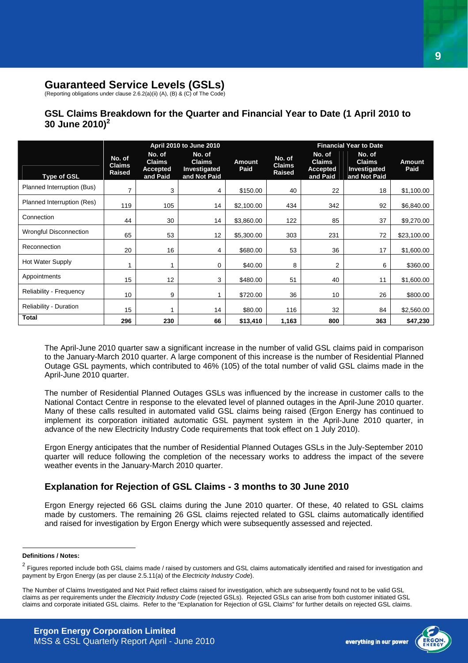#### <span id="page-8-0"></span>**Guaranteed Service Levels (GSLs)**

(Reporting obligations under clause 2.6.2(a)(ii) (A), (B) & (C) of The Code)

#### **GSL Claims Breakdown for the Quarter and Financial Year to Date (1 April 2010 to 30 June 2010)[2](#page-8-1)**

|                               | April 2010 to June 2010                  |                                                        |                                                         | <b>Financial Year to Date</b> |                                          |                                                        |                                                         |                       |
|-------------------------------|------------------------------------------|--------------------------------------------------------|---------------------------------------------------------|-------------------------------|------------------------------------------|--------------------------------------------------------|---------------------------------------------------------|-----------------------|
| <b>Type of GSL</b>            | No. of<br><b>Claims</b><br><b>Raised</b> | No. of<br><b>Claims</b><br><b>Accepted</b><br>and Paid | No. of<br><b>Claims</b><br>Investigated<br>and Not Paid | <b>Amount</b><br>Paid         | No. of<br><b>Claims</b><br><b>Raised</b> | No. of<br><b>Claims</b><br><b>Accepted</b><br>and Paid | No. of<br><b>Claims</b><br>Investigated<br>and Not Paid | <b>Amount</b><br>Paid |
| Planned Interruption (Bus)    | 7                                        | 3                                                      | 4                                                       | \$150.00                      | 40                                       | 22                                                     | 18                                                      | \$1,100.00            |
| Planned Interruption (Res)    | 119                                      | 105                                                    | 14                                                      | \$2,100.00                    | 434                                      | 342                                                    | 92                                                      | \$6,840.00            |
| Connection                    | 44                                       | 30                                                     | 14                                                      | \$3,860.00                    | 122                                      | 85                                                     | 37                                                      | \$9,270.00            |
| Wrongful Disconnection        | 65                                       | 53                                                     | 12                                                      | \$5,300.00                    | 303                                      | 231                                                    | 72                                                      | \$23,100.00           |
| Reconnection                  | 20                                       | 16                                                     | 4                                                       | \$680.00                      | 53                                       | 36                                                     | 17                                                      | \$1,600.00            |
| <b>Hot Water Supply</b>       | 1                                        |                                                        | 0                                                       | \$40.00                       | 8                                        | 2                                                      | 6                                                       | \$360.00              |
| Appointments                  | 15                                       | 12                                                     | 3                                                       | \$480.00                      | 51                                       | 40                                                     | 11                                                      | \$1,600.00            |
| Reliability - Frequency       | 10                                       | 9                                                      |                                                         | \$720.00                      | 36                                       | 10 <sup>1</sup>                                        | 26                                                      | \$800.00              |
| <b>Reliability - Duration</b> | 15                                       |                                                        | 14                                                      | \$80.00                       | 116                                      | 32                                                     | 84                                                      | \$2,560.00            |
| <b>Total</b>                  | 296                                      | 230                                                    | 66                                                      | \$13,410                      | 1,163                                    | 800                                                    | 363                                                     | \$47,230              |

The April-June 2010 quarter saw a significant increase in the number of valid GSL claims paid in comparison to the January-March 2010 quarter. A large component of this increase is the number of Residential Planned Outage GSL payments, which contributed to 46% (105) of the total number of valid GSL claims made in the April-June 2010 quarter.

The number of Residential Planned Outages GSLs was influenced by the increase in customer calls to the National Contact Centre in response to the elevated level of planned outages in the April-June 2010 quarter. Many of these calls resulted in automated valid GSL claims being raised (Ergon Energy has continued to implement its corporation initiated automatic GSL payment system in the April-June 2010 quarter, in advance of the new Electricity Industry Code requirements that took effect on 1 July 2010).

Ergon Energy anticipates that the number of Residential Planned Outages GSLs in the July-September 2010 quarter will reduce following the completion of the necessary works to address the impact of the severe weather events in the January-March 2010 quarter.

#### **Explanation for Rejection of GSL Claims - 3 months to 30 June 2010**

Ergon Energy rejected 66 GSL claims during the June 2010 quarter. Of these, 40 related to GSL claims made by customers. The remaining 26 GSL claims rejected related to GSL claims automatically identified and raised for investigation by Ergon Energy which were subsequently assessed and rejected.

#### <span id="page-8-1"></span>**Definitions / Notes:**

 $\overline{a}$ 



<sup>&</sup>lt;sup>2</sup> Figures reported include both GSL claims made / raised by customers and GSL claims automatically identified and raised for investigation and payment by Ergon Energy (as per clause 2.5.11(a) of the *Electricity Industry Code*).

The Number of Claims Investigated and Not Paid reflect claims raised for investigation, which are subsequently found not to be valid GSL claims as per requirements under the *Electricity Industry Code* (rejected GSLs). Rejected GSLs can arise from both customer initiated GSL claims and corporate initiated GSL claims. Refer to the "Explanation for Rejection of GSL Claims" for further details on rejected GSL claims.